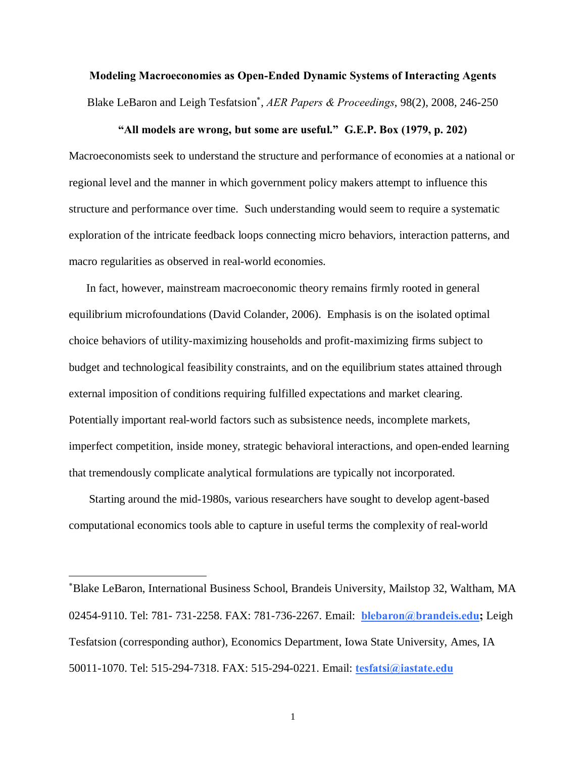**Modeling Macroeconomies as Open-Ended Dynamic Systems of Interacting Agents** Blake LeBaron and Leigh Tesfatsion\* , *AER Papers & Proceedings*, 98(2), 2008, 246-250

#### **"All models are wrong, but some are useful." G.E.P. Box (1979, p. 202)**

Macroeconomists seek to understand the structure and performance of economies at a national or regional level and the manner in which government policy makers attempt to influence this structure and performance over time. Such understanding would seem to require a systematic exploration of the intricate feedback loops connecting micro behaviors, interaction patterns, and macro regularities as observed in real-world economies.

 In fact, however, mainstream macroeconomic theory remains firmly rooted in general equilibrium microfoundations (David Colander, 2006). Emphasis is on the isolated optimal choice behaviors of utility-maximizing households and profit-maximizing firms subject to budget and technological feasibility constraints, and on the equilibrium states attained through external imposition of conditions requiring fulfilled expectations and market clearing. Potentially important real-world factors such as subsistence needs, incomplete markets, imperfect competition, inside money, strategic behavioral interactions, and open-ended learning that tremendously complicate analytical formulations are typically not incorporated.

 Starting around the mid-1980s, various researchers have sought to develop agent-based computational economics tools able to capture in useful terms the complexity of real-world

 $\overline{a}$ 

<sup>\*</sup> Blake LeBaron, International Business School, Brandeis University, Mailstop 32, Waltham, MA 02454-9110. Tel: 781- 731-2258. FAX: 781-736-2267. Email: **blebaron@brandeis.edu;** Leigh Tesfatsion (corresponding author), Economics Department, Iowa State University, Ames, IA 50011-1070. Tel: 515-294-7318. FAX: 515-294-0221. Email: **tesfatsi@iastate.edu**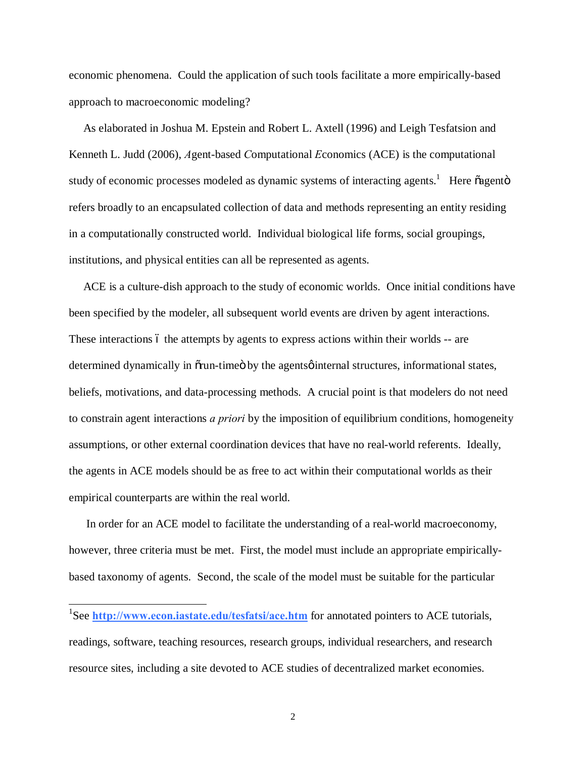economic phenomena. Could the application of such tools facilitate a more empirically-based approach to macroeconomic modeling?

 As elaborated in Joshua M. Epstein and Robert L. Axtell (1996) and Leigh Tesfatsion and Kenneth L. Judd (2006), *A*gent-based *C*omputational *E*conomics (ACE) is the computational study of economic processes modeled as dynamic systems of interacting agents.<sup>1</sup> Here õagentö refers broadly to an encapsulated collection of data and methods representing an entity residing in a computationally constructed world. Individual biological life forms, social groupings, institutions, and physical entities can all be represented as agents.

 ACE is a culture-dish approach to the study of economic worlds. Once initial conditions have been specified by the modeler, all subsequent world events are driven by agent interactions. These interactions 6 the attempts by agents to express actions within their worlds -- are determined dynamically in  $\tilde{\sigma}$  run-time by the agents  $\phi$  internal structures, informational states, beliefs, motivations, and data-processing methods. A crucial point is that modelers do not need to constrain agent interactions *a priori* by the imposition of equilibrium conditions, homogeneity assumptions, or other external coordination devices that have no real-world referents. Ideally, the agents in ACE models should be as free to act within their computational worlds as their empirical counterparts are within the real world.

 In order for an ACE model to facilitate the understanding of a real-world macroeconomy, however, three criteria must be met. First, the model must include an appropriate empiricallybased taxonomy of agents. Second, the scale of the model must be suitable for the particular

<sup>&</sup>lt;sup>1</sup>See **http://www.econ.iastate.edu/tesfatsi/ace.htm** for annotated pointers to ACE tutorials, readings, software, teaching resources, research groups, individual researchers, and research resource sites, including a site devoted to ACE studies of decentralized market economies.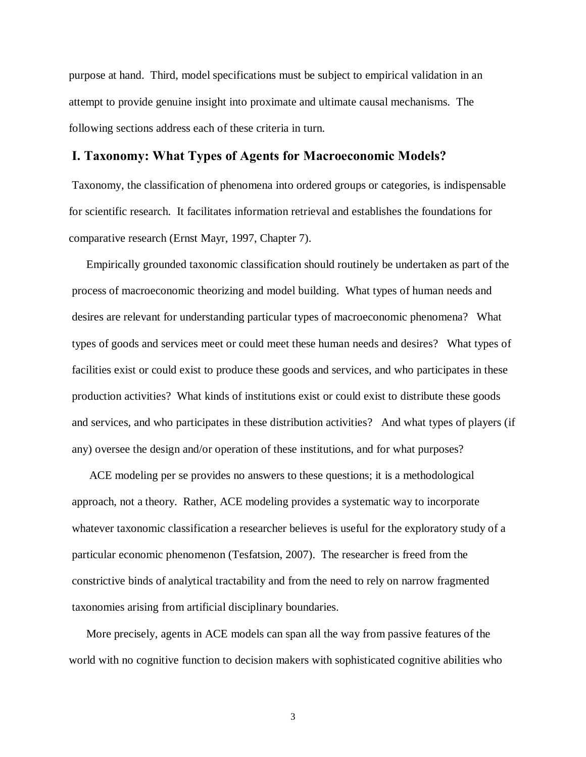purpose at hand. Third, model specifications must be subject to empirical validation in an attempt to provide genuine insight into proximate and ultimate causal mechanisms. The following sections address each of these criteria in turn.

# **I. Taxonomy: What Types of Agents for Macroeconomic Models?**

Taxonomy, the classification of phenomena into ordered groups or categories, is indispensable for scientific research. It facilitates information retrieval and establishes the foundations for comparative research (Ernst Mayr, 1997, Chapter 7).

 Empirically grounded taxonomic classification should routinely be undertaken as part of the process of macroeconomic theorizing and model building. What types of human needs and desires are relevant for understanding particular types of macroeconomic phenomena? What types of goods and services meet or could meet these human needs and desires? What types of facilities exist or could exist to produce these goods and services, and who participates in these production activities? What kinds of institutions exist or could exist to distribute these goods and services, and who participates in these distribution activities? And what types of players (if any) oversee the design and/or operation of these institutions, and for what purposes?

 ACE modeling per se provides no answers to these questions; it is a methodological approach, not a theory. Rather, ACE modeling provides a systematic way to incorporate whatever taxonomic classification a researcher believes is useful for the exploratory study of a particular economic phenomenon (Tesfatsion, 2007). The researcher is freed from the constrictive binds of analytical tractability and from the need to rely on narrow fragmented taxonomies arising from artificial disciplinary boundaries.

 More precisely, agents in ACE models can span all the way from passive features of the world with no cognitive function to decision makers with sophisticated cognitive abilities who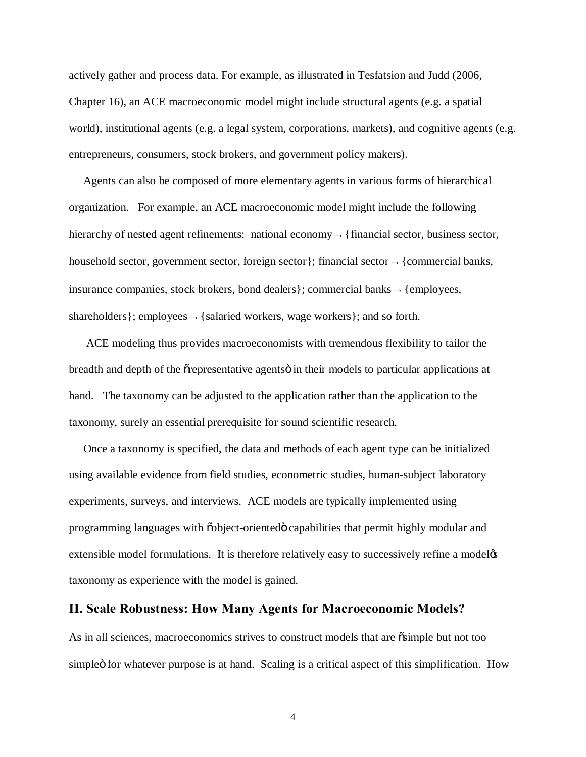actively gather and process data. For example, as illustrated in Tesfatsion and Judd (2006, Chapter 16), an ACE macroeconomic model might include structural agents (e.g. a spatial world), institutional agents (e.g. a legal system, corporations, markets), and cognitive agents (e.g. entrepreneurs, consumers, stock brokers, and government policy makers).

 Agents can also be composed of more elementary agents in various forms of hierarchical organization. For example, an ACE macroeconomic model might include the following hierarchy of nested agent refinements: national economy → {financial sector, business sector, household sector, government sector, foreign sector}; financial sector  $\rightarrow$  {commercial banks, insurance companies, stock brokers, bond dealers}; commercial banks  $\rightarrow$  {employees, shareholders}; employees  $\rightarrow$  {salaried workers, wage workers}; and so forth.

 ACE modeling thus provides macroeconomists with tremendous flexibility to tailor the breadth and depth of the  $\tilde{o}$  representative agents in their models to particular applications at hand. The taxonomy can be adjusted to the application rather than the application to the taxonomy, surely an essential prerequisite for sound scientific research.

 Once a taxonomy is specified, the data and methods of each agent type can be initialized using available evidence from field studies, econometric studies, human-subject laboratory experiments, surveys, and interviews. ACE models are typically implemented using programming languages with "object-oriented" capabilities that permit highly modular and extensible model formulations. It is therefore relatively easy to successively refine a model  $\alpha$ taxonomy as experience with the model is gained.

### **II. Scale Robustness: How Many Agents for Macroeconomic Models?**

As in all sciences, macroeconomics strives to construct models that are  $\delta$  simple but not too simple 6 for whatever purpose is at hand. Scaling is a critical aspect of this simplification. How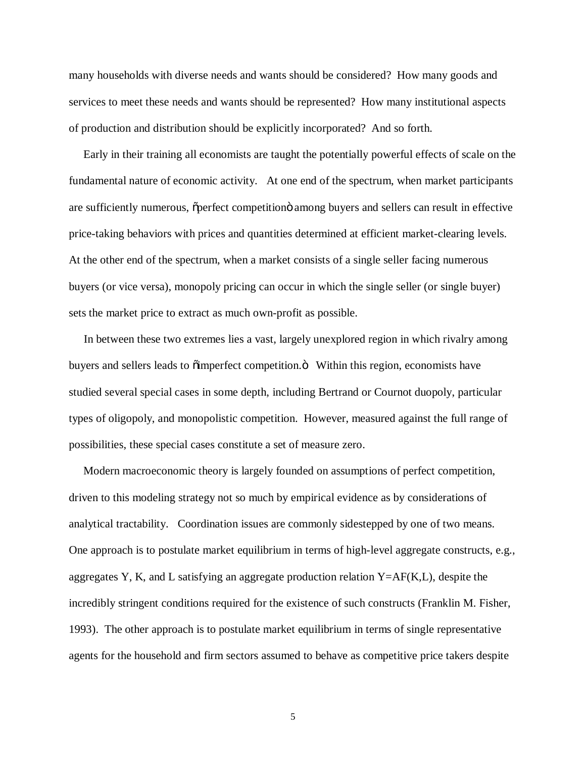many households with diverse needs and wants should be considered? How many goods and services to meet these needs and wants should be represented? How many institutional aspects of production and distribution should be explicitly incorporated? And so forth.

 Early in their training all economists are taught the potentially powerful effects of scale on the fundamental nature of economic activity. At one end of the spectrum, when market participants are sufficiently numerous,  $\tilde{\rho}$  perfect competition among buyers and sellers can result in effective price-taking behaviors with prices and quantities determined at efficient market-clearing levels. At the other end of the spectrum, when a market consists of a single seller facing numerous buyers (or vice versa), monopoly pricing can occur in which the single seller (or single buyer) sets the market price to extract as much own-profit as possible.

 In between these two extremes lies a vast, largely unexplored region in which rivalry among buyers and sellers leads to  $\ddot{\text{o}}$  imperfect competition. $\ddot{\text{o}}$  Within this region, economists have studied several special cases in some depth, including Bertrand or Cournot duopoly, particular types of oligopoly, and monopolistic competition. However, measured against the full range of possibilities, these special cases constitute a set of measure zero.

 Modern macroeconomic theory is largely founded on assumptions of perfect competition, driven to this modeling strategy not so much by empirical evidence as by considerations of analytical tractability. Coordination issues are commonly sidestepped by one of two means. One approach is to postulate market equilibrium in terms of high-level aggregate constructs, e.g., aggregates Y, K, and L satisfying an aggregate production relation  $Y=AF(K,L)$ , despite the incredibly stringent conditions required for the existence of such constructs (Franklin M. Fisher, 1993). The other approach is to postulate market equilibrium in terms of single representative agents for the household and firm sectors assumed to behave as competitive price takers despite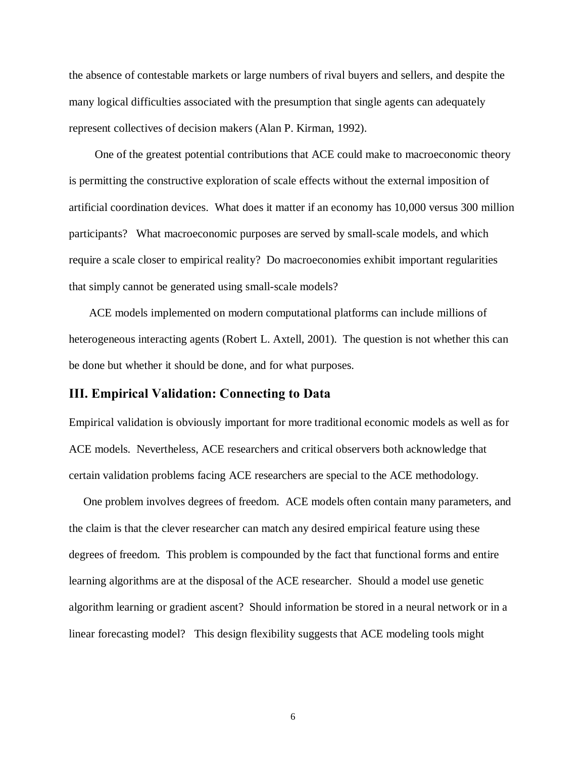the absence of contestable markets or large numbers of rival buyers and sellers, and despite the many logical difficulties associated with the presumption that single agents can adequately represent collectives of decision makers (Alan P. Kirman, 1992).

 One of the greatest potential contributions that ACE could make to macroeconomic theory is permitting the constructive exploration of scale effects without the external imposition of artificial coordination devices. What does it matter if an economy has 10,000 versus 300 million participants? What macroeconomic purposes are served by small-scale models, and which require a scale closer to empirical reality? Do macroeconomies exhibit important regularities that simply cannot be generated using small-scale models?

 ACE models implemented on modern computational platforms can include millions of heterogeneous interacting agents (Robert L. Axtell, 2001). The question is not whether this can be done but whether it should be done, and for what purposes.

# **III. Empirical Validation: Connecting to Data**

Empirical validation is obviously important for more traditional economic models as well as for ACE models. Nevertheless, ACE researchers and critical observers both acknowledge that certain validation problems facing ACE researchers are special to the ACE methodology.

 One problem involves degrees of freedom. ACE models often contain many parameters, and the claim is that the clever researcher can match any desired empirical feature using these degrees of freedom. This problem is compounded by the fact that functional forms and entire learning algorithms are at the disposal of the ACE researcher. Should a model use genetic algorithm learning or gradient ascent? Should information be stored in a neural network or in a linear forecasting model? This design flexibility suggests that ACE modeling tools might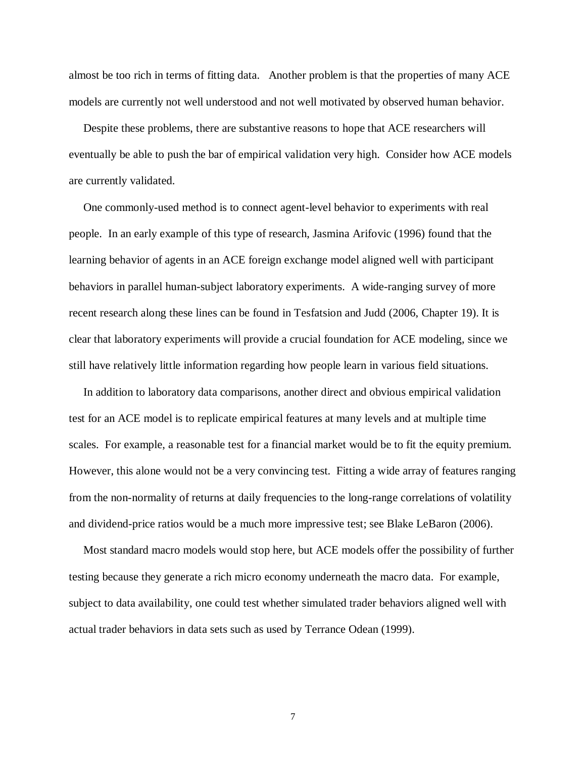almost be too rich in terms of fitting data. Another problem is that the properties of many ACE models are currently not well understood and not well motivated by observed human behavior.

 Despite these problems, there are substantive reasons to hope that ACE researchers will eventually be able to push the bar of empirical validation very high. Consider how ACE models are currently validated.

 One commonly-used method is to connect agent-level behavior to experiments with real people. In an early example of this type of research, Jasmina Arifovic (1996) found that the learning behavior of agents in an ACE foreign exchange model aligned well with participant behaviors in parallel human-subject laboratory experiments. A wide-ranging survey of more recent research along these lines can be found in Tesfatsion and Judd (2006, Chapter 19). It is clear that laboratory experiments will provide a crucial foundation for ACE modeling, since we still have relatively little information regarding how people learn in various field situations.

 In addition to laboratory data comparisons, another direct and obvious empirical validation test for an ACE model is to replicate empirical features at many levels and at multiple time scales. For example, a reasonable test for a financial market would be to fit the equity premium. However, this alone would not be a very convincing test. Fitting a wide array of features ranging from the non-normality of returns at daily frequencies to the long-range correlations of volatility and dividend-price ratios would be a much more impressive test; see Blake LeBaron (2006).

 Most standard macro models would stop here, but ACE models offer the possibility of further testing because they generate a rich micro economy underneath the macro data. For example, subject to data availability, one could test whether simulated trader behaviors aligned well with actual trader behaviors in data sets such as used by Terrance Odean (1999).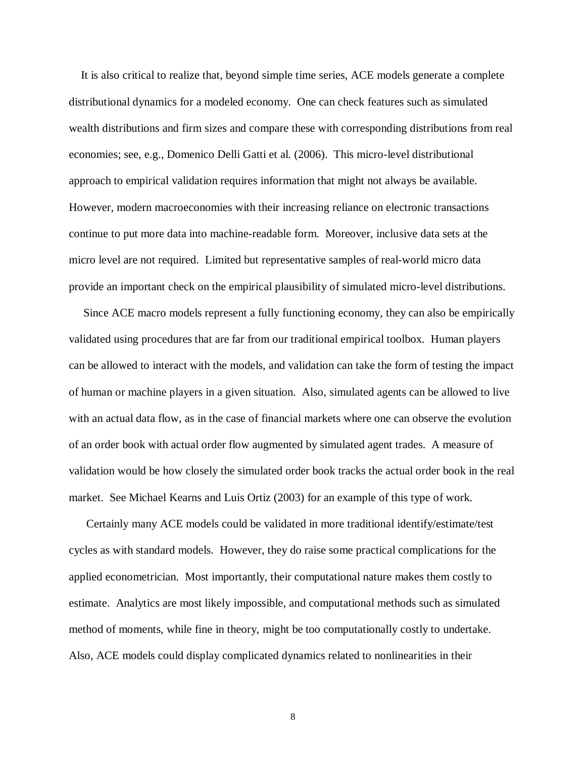It is also critical to realize that, beyond simple time series, ACE models generate a complete distributional dynamics for a modeled economy. One can check features such as simulated wealth distributions and firm sizes and compare these with corresponding distributions from real economies; see, e.g., Domenico Delli Gatti et al. (2006). This micro-level distributional approach to empirical validation requires information that might not always be available. However, modern macroeconomies with their increasing reliance on electronic transactions continue to put more data into machine-readable form. Moreover, inclusive data sets at the micro level are not required. Limited but representative samples of real-world micro data provide an important check on the empirical plausibility of simulated micro-level distributions.

 Since ACE macro models represent a fully functioning economy, they can also be empirically validated using procedures that are far from our traditional empirical toolbox. Human players can be allowed to interact with the models, and validation can take the form of testing the impact of human or machine players in a given situation. Also, simulated agents can be allowed to live with an actual data flow, as in the case of financial markets where one can observe the evolution of an order book with actual order flow augmented by simulated agent trades. A measure of validation would be how closely the simulated order book tracks the actual order book in the real market. See Michael Kearns and Luis Ortiz (2003) for an example of this type of work.

 Certainly many ACE models could be validated in more traditional identify/estimate/test cycles as with standard models. However, they do raise some practical complications for the applied econometrician. Most importantly, their computational nature makes them costly to estimate. Analytics are most likely impossible, and computational methods such as simulated method of moments, while fine in theory, might be too computationally costly to undertake. Also, ACE models could display complicated dynamics related to nonlinearities in their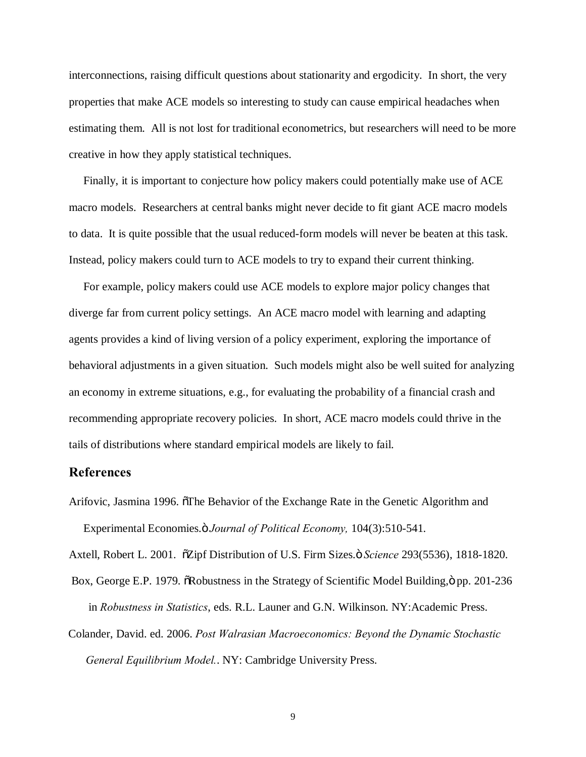interconnections, raising difficult questions about stationarity and ergodicity. In short, the very properties that make ACE models so interesting to study can cause empirical headaches when estimating them. All is not lost for traditional econometrics, but researchers will need to be more creative in how they apply statistical techniques.

 Finally, it is important to conjecture how policy makers could potentially make use of ACE macro models. Researchers at central banks might never decide to fit giant ACE macro models to data. It is quite possible that the usual reduced-form models will never be beaten at this task. Instead, policy makers could turn to ACE models to try to expand their current thinking.

 For example, policy makers could use ACE models to explore major policy changes that diverge far from current policy settings. An ACE macro model with learning and adapting agents provides a kind of living version of a policy experiment, exploring the importance of behavioral adjustments in a given situation. Such models might also be well suited for analyzing an economy in extreme situations, e.g., for evaluating the probability of a financial crash and recommending appropriate recovery policies. In short, ACE macro models could thrive in the tails of distributions where standard empirical models are likely to fail.

# **References**

Arifovic, Jasmina 1996. The Behavior of the Exchange Rate in the Genetic Algorithm and Experimental Economies." *Journal of Political Economy,* 104(3):510-541.

Axtell, Robert L. 2001.  $\tilde{o}$ Zipf Distribution of U.S. Firm Sizes. $\tilde{o}$  *Science* 293(5536), 1818-1820.

- Box, George E.P. 1979.  $\delta$ Robustness in the Strategy of Scientific Model Building, $\ddot{\text{o}}$  pp. 201-236 in *Robustness in Statistics*, eds. R.L. Launer and G.N. Wilkinson. NY:Academic Press.
- Colander, David. ed. 2006. *Post Walrasian Macroeconomics: Beyond the Dynamic Stochastic General Equilibrium Model.*. NY: Cambridge University Press.